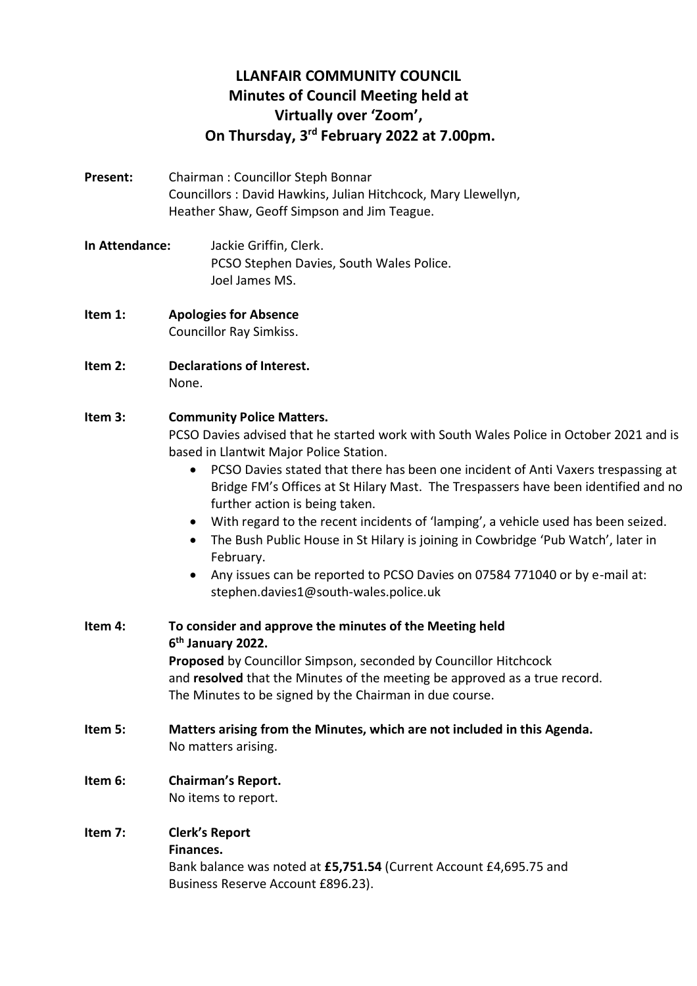# **LLANFAIR COMMUNITY COUNCIL Minutes of Council Meeting held at Virtually over 'Zoom', On Thursday, 3 rd February 2022 at 7.00pm.**

- **Present:** Chairman : Councillor Steph Bonnar Councillors : David Hawkins, Julian Hitchcock, Mary Llewellyn, Heather Shaw, Geoff Simpson and Jim Teague.
- **In Attendance:** Jackie Griffin, Clerk. PCSO Stephen Davies, South Wales Police. Joel James MS.
- **Item 1: Apologies for Absence** Councillor Ray Simkiss.
- **Item 2: Declarations of Interest.** None.
- **Item 3: Community Police Matters.**

PCSO Davies advised that he started work with South Wales Police in October 2021 and is based in Llantwit Major Police Station.

- PCSO Davies stated that there has been one incident of Anti Vaxers trespassing at Bridge FM's Offices at St Hilary Mast. The Trespassers have been identified and no further action is being taken.
- With regard to the recent incidents of 'lamping', a vehicle used has been seized.
- The Bush Public House in St Hilary is joining in Cowbridge 'Pub Watch', later in February.
- Any issues can be reported to PCSO Davies on 07584 771040 or by e-mail at: stephen.davies1@south-wales.police.uk
- **Item 4: To consider and approve the minutes of the Meeting held 6 th January 2022. Proposed** by Councillor Simpson, seconded by Councillor Hitchcock and **resolved** that the Minutes of the meeting be approved as a true record. The Minutes to be signed by the Chairman in due course.
- **Item 5: Matters arising from the Minutes, which are not included in this Agenda.** No matters arising.
- **Item 6: Chairman's Report.** No items to report.
- **Item 7: Clerk's Report Finances.**

Bank balance was noted at **£5,751.54** (Current Account £4,695.75 and Business Reserve Account £896.23).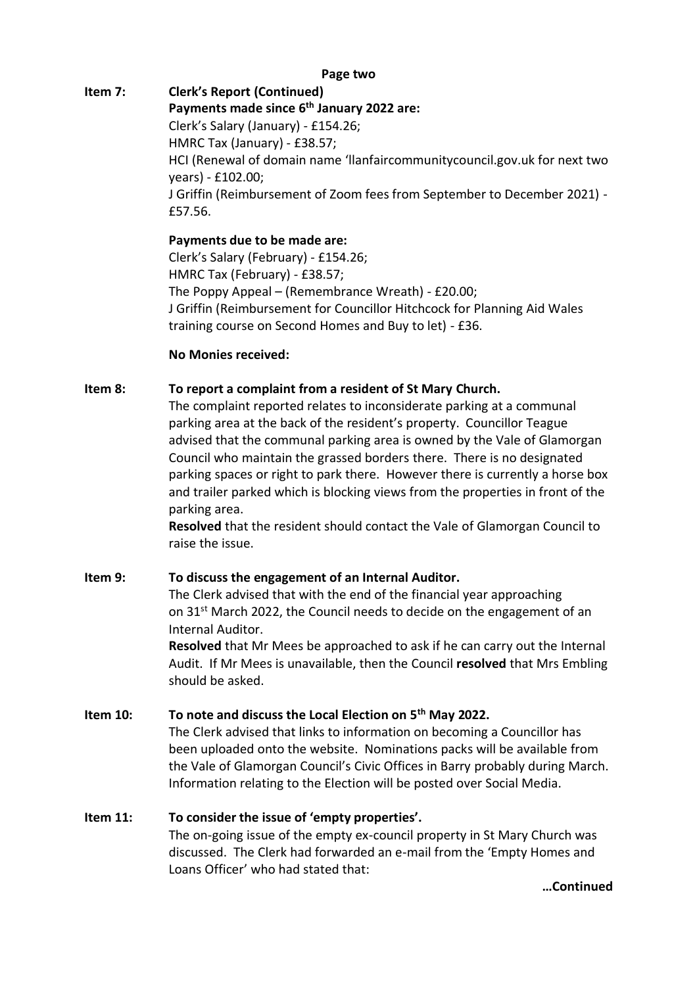### **Page two**

**Item 7: Clerk's Report (Continued) Payments made since 6 th January 2022 are:** Clerk's Salary (January) - £154.26; HMRC Tax (January) - £38.57; HCI (Renewal of domain name 'llanfaircommunitycouncil.gov.uk for next two years) - £102.00; J Griffin (Reimbursement of Zoom fees from September to December 2021) - £57.56.

> **Payments due to be made are:**  Clerk's Salary (February) - £154.26; HMRC Tax (February) - £38.57; The Poppy Appeal – (Remembrance Wreath) - £20.00; J Griffin (Reimbursement for Councillor Hitchcock for Planning Aid Wales training course on Second Homes and Buy to let) - £36.

#### **No Monies received:**

#### **Item 8: To report a complaint from a resident of St Mary Church.**

The complaint reported relates to inconsiderate parking at a communal parking area at the back of the resident's property. Councillor Teague advised that the communal parking area is owned by the Vale of Glamorgan Council who maintain the grassed borders there. There is no designated parking spaces or right to park there. However there is currently a horse box and trailer parked which is blocking views from the properties in front of the parking area.

**Resolved** that the resident should contact the Vale of Glamorgan Council to raise the issue.

#### **Item 9: To discuss the engagement of an Internal Auditor.**

The Clerk advised that with the end of the financial year approaching on 31<sup>st</sup> March 2022, the Council needs to decide on the engagement of an Internal Auditor.

**Resolved** that Mr Mees be approached to ask if he can carry out the Internal Audit. If Mr Mees is unavailable, then the Council **resolved** that Mrs Embling should be asked.

### **Item 10: To note and discuss the Local Election on 5th May 2022.**

The Clerk advised that links to information on becoming a Councillor has been uploaded onto the website. Nominations packs will be available from the Vale of Glamorgan Council's Civic Offices in Barry probably during March. Information relating to the Election will be posted over Social Media.

#### **Item 11: To consider the issue of 'empty properties'.**

The on-going issue of the empty ex-council property in St Mary Church was discussed. The Clerk had forwarded an e-mail from the 'Empty Homes and Loans Officer' who had stated that:

**…Continued**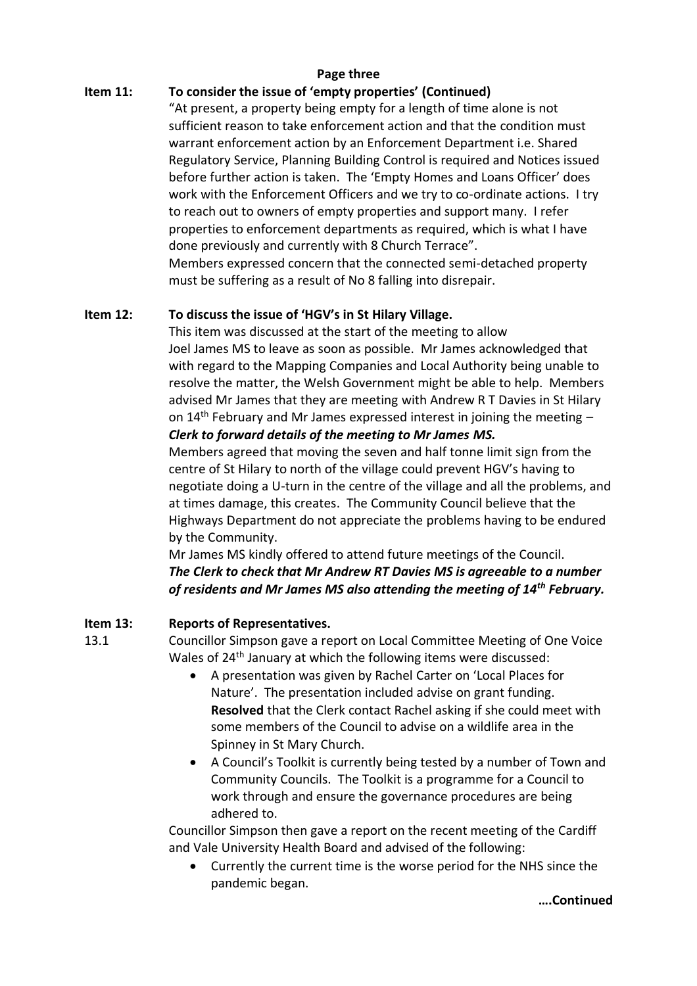### **Page three**

### **Item 11: To consider the issue of 'empty properties' (Continued)**

"At present, a property being empty for a length of time alone is not sufficient reason to take enforcement action and that the condition must warrant enforcement action by an Enforcement Department i.e. Shared Regulatory Service, Planning Building Control is required and Notices issued before further action is taken. The 'Empty Homes and Loans Officer' does work with the Enforcement Officers and we try to co-ordinate actions. I try to reach out to owners of empty properties and support many. I refer properties to enforcement departments as required, which is what I have done previously and currently with 8 Church Terrace".

Members expressed concern that the connected semi-detached property must be suffering as a result of No 8 falling into disrepair.

### **Item 12: To discuss the issue of 'HGV's in St Hilary Village.**

This item was discussed at the start of the meeting to allow Joel James MS to leave as soon as possible. Mr James acknowledged that with regard to the Mapping Companies and Local Authority being unable to resolve the matter, the Welsh Government might be able to help. Members advised Mr James that they are meeting with Andrew R T Davies in St Hilary on  $14<sup>th</sup>$  February and Mr James expressed interest in joining the meeting  $-$ *Clerk to forward details of the meeting to Mr James MS.*

Members agreed that moving the seven and half tonne limit sign from the centre of St Hilary to north of the village could prevent HGV's having to negotiate doing a U-turn in the centre of the village and all the problems, and at times damage, this creates. The Community Council believe that the Highways Department do not appreciate the problems having to be endured by the Community.

Mr James MS kindly offered to attend future meetings of the Council. *The Clerk to check that Mr Andrew RT Davies MS is agreeable to a number of residents and Mr James MS also attending the meeting of 14th February.*

## **Item 13: Reports of Representatives.**

13.1 Councillor Simpson gave a report on Local Committee Meeting of One Voice Wales of 24<sup>th</sup> January at which the following items were discussed:

- A presentation was given by Rachel Carter on 'Local Places for Nature'. The presentation included advise on grant funding. **Resolved** that the Clerk contact Rachel asking if she could meet with some members of the Council to advise on a wildlife area in the Spinney in St Mary Church.
- A Council's Toolkit is currently being tested by a number of Town and Community Councils. The Toolkit is a programme for a Council to work through and ensure the governance procedures are being adhered to.

Councillor Simpson then gave a report on the recent meeting of the Cardiff and Vale University Health Board and advised of the following:

• Currently the current time is the worse period for the NHS since the pandemic began.

**….Continued**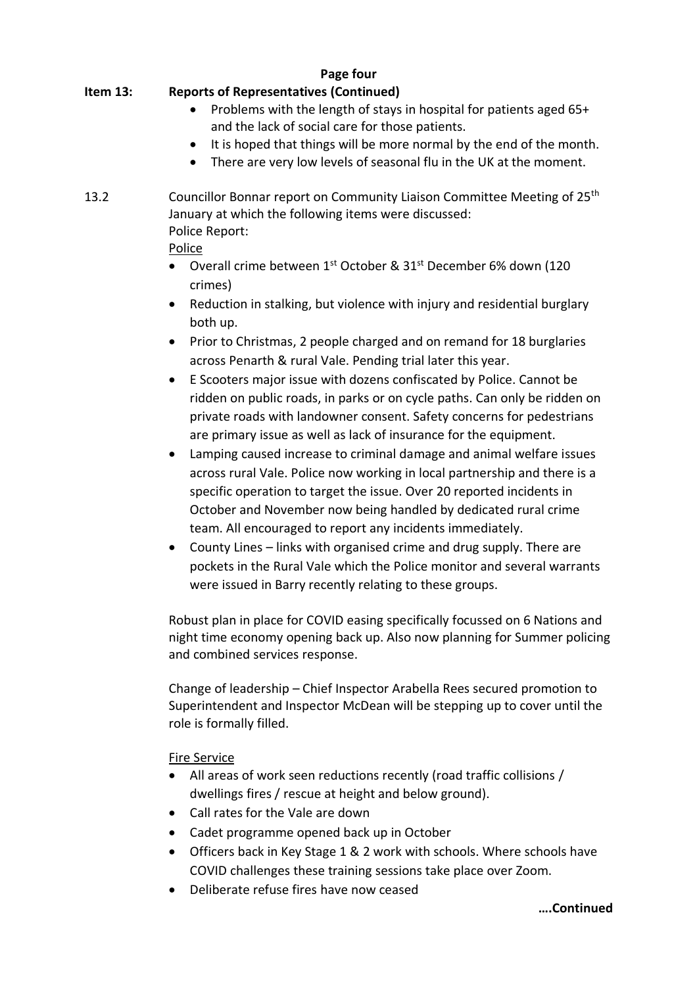#### **Page four Item 13: Reports of Representatives (Continued)**

- Problems with the length of stays in hospital for patients aged 65+ and the lack of social care for those patients.
- It is hoped that things will be more normal by the end of the month.
- There are very low levels of seasonal flu in the UK at the moment.

## 13.2 Councillor Bonnar report on Community Liaison Committee Meeting of 25<sup>th</sup> January at which the following items were discussed: Police Report:

## Police

- Overall crime between 1<sup>st</sup> October & 31<sup>st</sup> December 6% down (120 crimes)
- Reduction in stalking, but violence with injury and residential burglary both up.
- Prior to Christmas, 2 people charged and on remand for 18 burglaries across Penarth & rural Vale. Pending trial later this year.
- E Scooters major issue with dozens confiscated by Police. Cannot be ridden on public roads, in parks or on cycle paths. Can only be ridden on private roads with landowner consent. Safety concerns for pedestrians are primary issue as well as lack of insurance for the equipment.
- Lamping caused increase to criminal damage and animal welfare issues across rural Vale. Police now working in local partnership and there is a specific operation to target the issue. Over 20 reported incidents in October and November now being handled by dedicated rural crime team. All encouraged to report any incidents immediately.
- County Lines links with organised crime and drug supply. There are pockets in the Rural Vale which the Police monitor and several warrants were issued in Barry recently relating to these groups.

Robust plan in place for COVID easing specifically focussed on 6 Nations and night time economy opening back up. Also now planning for Summer policing and combined services response.

Change of leadership – Chief Inspector Arabella Rees secured promotion to Superintendent and Inspector McDean will be stepping up to cover until the role is formally filled.

## Fire Service

- All areas of work seen reductions recently (road traffic collisions / dwellings fires / rescue at height and below ground).
- Call rates for the Vale are down
- Cadet programme opened back up in October
- Officers back in Key Stage 1 & 2 work with schools. Where schools have COVID challenges these training sessions take place over Zoom.
- Deliberate refuse fires have now ceased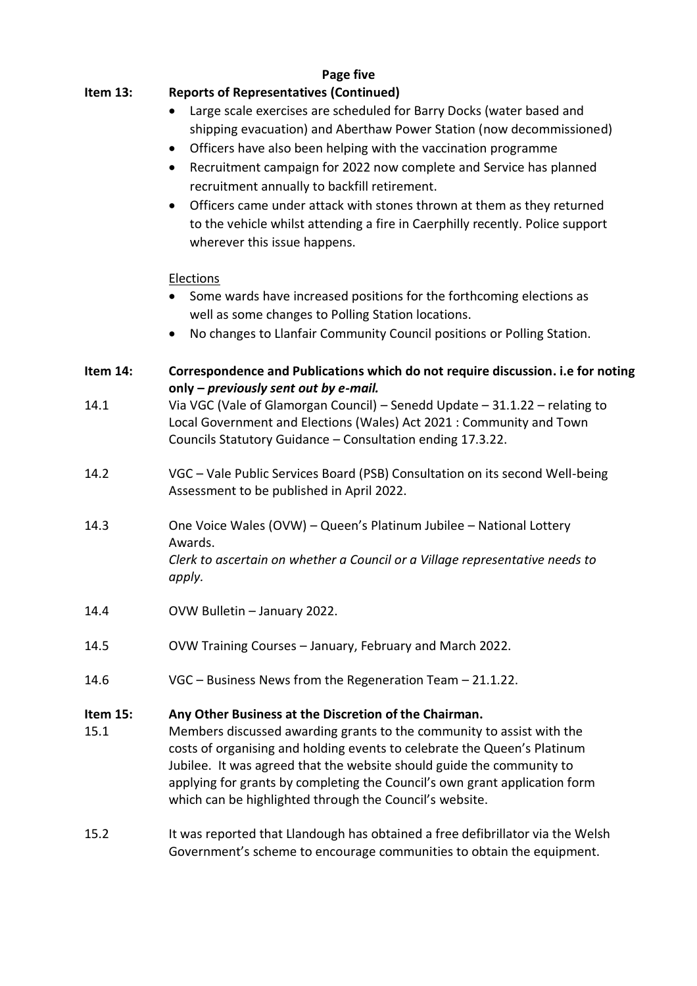### **Page five**

## **Item 13: Reports of Representatives (Continued)**

- Large scale exercises are scheduled for Barry Docks (water based and shipping evacuation) and Aberthaw Power Station (now decommissioned)
- Officers have also been helping with the vaccination programme
- Recruitment campaign for 2022 now complete and Service has planned recruitment annually to backfill retirement.
- Officers came under attack with stones thrown at them as they returned to the vehicle whilst attending a fire in Caerphilly recently. Police support wherever this issue happens.

### Elections

- Some wards have increased positions for the forthcoming elections as well as some changes to Polling Station locations.
- No changes to Llanfair Community Council positions or Polling Station.
- **Item 14: Correspondence and Publications which do not require discussion. i.e for noting only –** *previously sent out by e-mail.*
- 14.1 Via VGC (Vale of Glamorgan Council) Senedd Update 31.1.22 relating to Local Government and Elections (Wales) Act 2021 : Community and Town Councils Statutory Guidance – Consultation ending 17.3.22.
- 14.2 VGC Vale Public Services Board (PSB) Consultation on its second Well-being Assessment to be published in April 2022.
- 14.3 One Voice Wales (OVW) Queen's Platinum Jubilee National Lottery Awards. *Clerk to ascertain on whether a Council or a Village representative needs to apply.*
- 14.4 OVW Bulletin January 2022.
- 14.5 OVW Training Courses January, February and March 2022.
- 14.6 VGC Business News from the Regeneration Team 21.1.22.

### **Item 15: Any Other Business at the Discretion of the Chairman.**

- 15.1 Members discussed awarding grants to the community to assist with the costs of organising and holding events to celebrate the Queen's Platinum Jubilee. It was agreed that the website should guide the community to applying for grants by completing the Council's own grant application form which can be highlighted through the Council's website.
- 15.2 It was reported that Llandough has obtained a free defibrillator via the Welsh Government's scheme to encourage communities to obtain the equipment.